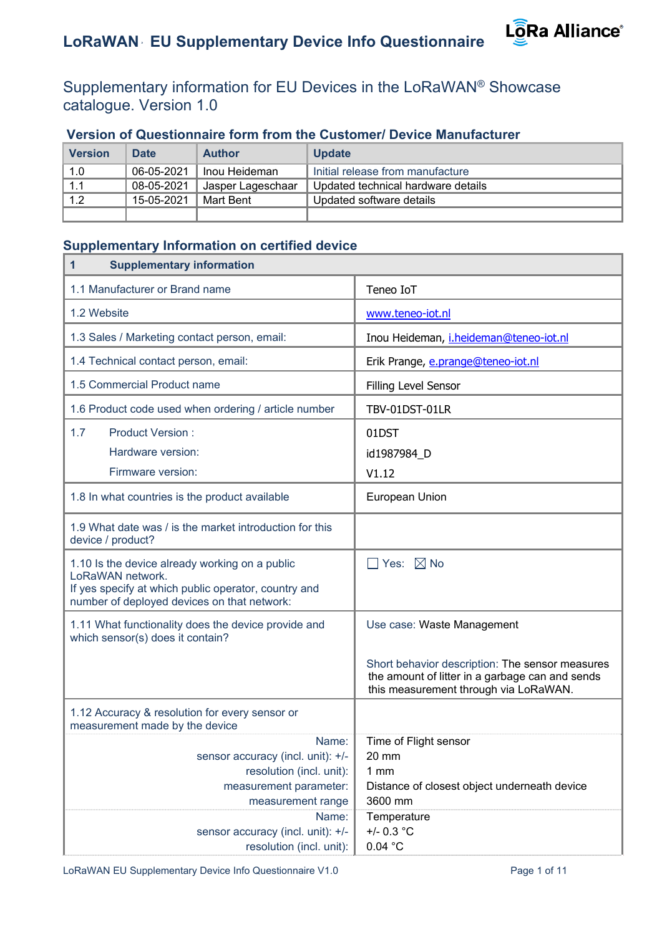

#### Supplementary information for EU Devices in the LoRaWAN® Showcase catalogue. Version 1.0

#### **Version of Questionnaire form from the Customer/ Device Manufacturer**

| <b>Version</b> | <b>Date</b> | <b>Author</b>     | <b>Update</b>                      |
|----------------|-------------|-------------------|------------------------------------|
| 1.0            | 06-05-2021  | Inou Heideman     | Initial release from manufacture   |
| 1.1            | 08-05-2021  | Jasper Lageschaar | Updated technical hardware details |
| 1.2            | 15-05-2021  | Mart Bent         | Updated software details           |
|                |             |                   |                                    |

#### **Supplementary Information on certified device**

| <b>Supplementary information</b><br>1                                                                                                                                     |                                                                                                                                             |
|---------------------------------------------------------------------------------------------------------------------------------------------------------------------------|---------------------------------------------------------------------------------------------------------------------------------------------|
| 1.1 Manufacturer or Brand name                                                                                                                                            | Teneo IoT                                                                                                                                   |
| 1.2 Website                                                                                                                                                               | www.teneo-iot.nl                                                                                                                            |
| 1.3 Sales / Marketing contact person, email:                                                                                                                              | Inou Heideman, <i>i.heideman@teneo-iot.nl</i>                                                                                               |
| 1.4 Technical contact person, email:                                                                                                                                      | Erik Prange, e.prange@teneo-iot.nl                                                                                                          |
| 1.5 Commercial Product name                                                                                                                                               | Filling Level Sensor                                                                                                                        |
| 1.6 Product code used when ordering / article number                                                                                                                      | TBV-01DST-01LR                                                                                                                              |
| 1.7<br><b>Product Version:</b>                                                                                                                                            | 01DST                                                                                                                                       |
| Hardware version:                                                                                                                                                         | id1987984_D                                                                                                                                 |
| Firmware version:                                                                                                                                                         | V1.12                                                                                                                                       |
|                                                                                                                                                                           |                                                                                                                                             |
| 1.8 In what countries is the product available                                                                                                                            | European Union                                                                                                                              |
| 1.9 What date was / is the market introduction for this<br>device / product?                                                                                              |                                                                                                                                             |
| 1.10 Is the device already working on a public<br>LoRaWAN network.<br>If yes specify at which public operator, country and<br>number of deployed devices on that network: | $\square$ Yes: $\,\boxtimes$ No                                                                                                             |
| 1.11 What functionality does the device provide and<br>which sensor(s) does it contain?                                                                                   | Use case: Waste Management                                                                                                                  |
|                                                                                                                                                                           | Short behavior description: The sensor measures<br>the amount of litter in a garbage can and sends<br>this measurement through via LoRaWAN. |
| 1.12 Accuracy & resolution for every sensor or<br>measurement made by the device                                                                                          |                                                                                                                                             |
| Name:                                                                                                                                                                     | Time of Flight sensor                                                                                                                       |
| sensor accuracy (incl. unit): +/-                                                                                                                                         | 20 mm                                                                                                                                       |
| resolution (incl. unit):                                                                                                                                                  | $1 \text{ mm}$                                                                                                                              |
| measurement parameter:                                                                                                                                                    | Distance of closest object underneath device                                                                                                |
| measurement range                                                                                                                                                         | 3600 mm                                                                                                                                     |
| Name:                                                                                                                                                                     | Temperature                                                                                                                                 |
| sensor accuracy (incl. unit): +/-                                                                                                                                         | +/- $0.3 °C$                                                                                                                                |
| resolution (incl. unit):                                                                                                                                                  | 0.04 °C                                                                                                                                     |

LoRaWAN EU Supplementary Device Info Questionnaire V1.0 example 1 and 20 years of 11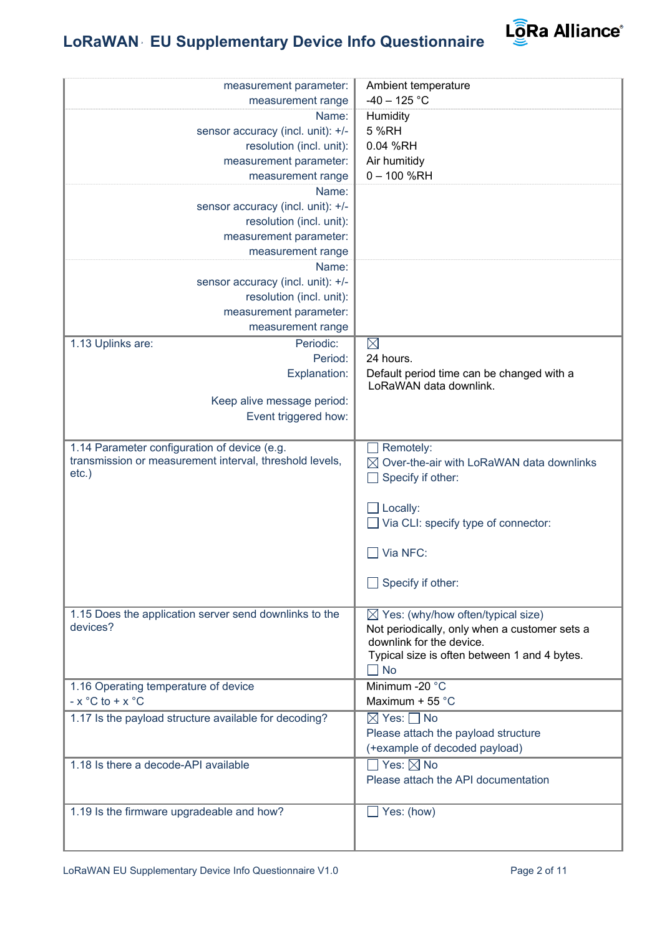

| measurement parameter:                                              | Ambient temperature                                   |
|---------------------------------------------------------------------|-------------------------------------------------------|
| measurement range                                                   | $-40 - 125$ °C                                        |
| Name:                                                               | Humidity                                              |
| sensor accuracy (incl. unit): +/-                                   | 5 %RH                                                 |
| resolution (incl. unit):                                            | 0.04 %RH                                              |
| measurement parameter:                                              | Air humitidy                                          |
| measurement range                                                   | $0 - 100$ %RH                                         |
| Name:                                                               |                                                       |
| sensor accuracy (incl. unit): +/-                                   |                                                       |
| resolution (incl. unit):                                            |                                                       |
| measurement parameter:                                              |                                                       |
| measurement range                                                   |                                                       |
| Name:                                                               |                                                       |
| sensor accuracy (incl. unit): +/-                                   |                                                       |
| resolution (incl. unit):                                            |                                                       |
| measurement parameter:                                              |                                                       |
| measurement range                                                   |                                                       |
| 1.13 Uplinks are:<br>Periodic:                                      | $\boxtimes$                                           |
| Period:                                                             | 24 hours.                                             |
| Explanation:                                                        | Default period time can be changed with a             |
|                                                                     | LoRaWAN data downlink.                                |
| Keep alive message period:                                          |                                                       |
| Event triggered how:                                                |                                                       |
|                                                                     |                                                       |
| 1.14 Parameter configuration of device (e.g.                        | Remotely:                                             |
| transmission or measurement interval, threshold levels,<br>$etc.$ ) | Over-the-air with LoRaWAN data downlinks<br>$\bowtie$ |
|                                                                     | Specify if other:                                     |
|                                                                     |                                                       |
|                                                                     | Locally:                                              |
|                                                                     | Via CLI: specify type of connector:                   |
|                                                                     |                                                       |
|                                                                     | Via NFC:                                              |
|                                                                     | Specify if other:                                     |
|                                                                     |                                                       |
| 1.15 Does the application server send downlinks to the              | $\boxtimes$ Yes: (why/how often/typical size)         |
| devices?                                                            | Not periodically, only when a customer sets a         |
|                                                                     | downlink for the device.                              |
|                                                                     | Typical size is often between 1 and 4 bytes.          |
|                                                                     | $\Box$ No                                             |
| 1.16 Operating temperature of device                                | Minimum -20 °C                                        |
| $- x °C$ to $+ x °C$                                                | Maximum + 55 $^{\circ}$ C                             |
| 1.17 Is the payload structure available for decoding?               | $\boxtimes$ Yes: $\Box$ No                            |
|                                                                     |                                                       |
|                                                                     | Please attach the payload structure                   |
|                                                                     | (+example of decoded payload)                         |
| 1.18 Is there a decode-API available                                | Yes: $\boxtimes$ No                                   |
|                                                                     | Please attach the API documentation                   |
|                                                                     |                                                       |
| 1.19 Is the firmware upgradeable and how?                           | Yes: (how)                                            |
|                                                                     |                                                       |
|                                                                     |                                                       |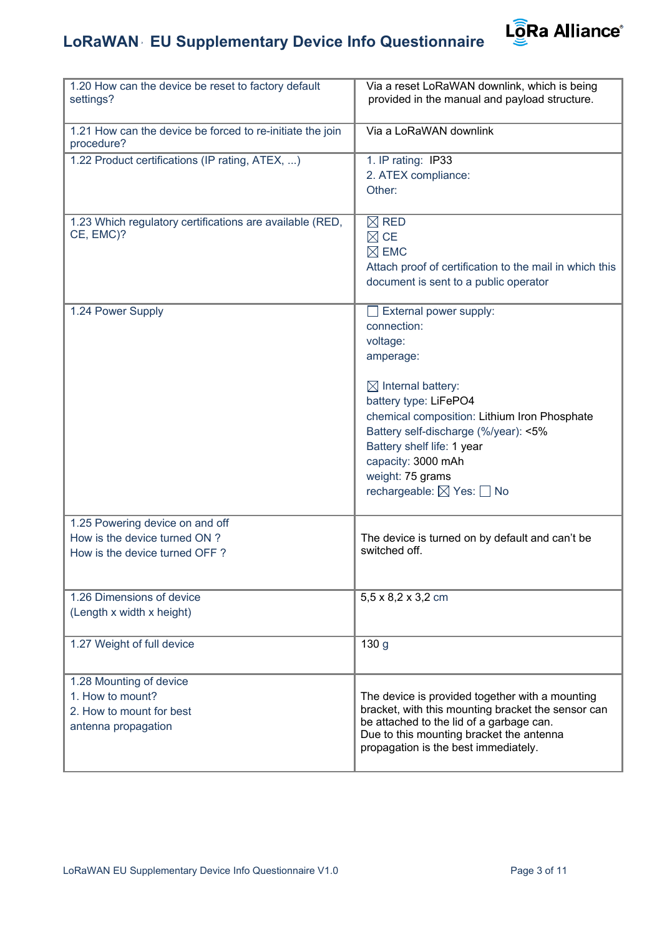

| 1.20 How can the device be reset to factory default<br>settings?                                 | Via a reset LoRaWAN downlink, which is being<br>provided in the manual and payload structure.                                                                                                                                                     |
|--------------------------------------------------------------------------------------------------|---------------------------------------------------------------------------------------------------------------------------------------------------------------------------------------------------------------------------------------------------|
| 1.21 How can the device be forced to re-initiate the join<br>procedure?                          | Via a LoRaWAN downlink                                                                                                                                                                                                                            |
| 1.22 Product certifications (IP rating, ATEX, )                                                  | 1. IP rating: IP33<br>2. ATEX compliance:<br>Other:                                                                                                                                                                                               |
| 1.23 Which regulatory certifications are available (RED,<br>CE, EMC)?                            | $\boxtimes$ RED<br>$\boxtimes$ CE<br>$\boxtimes$ EMC<br>Attach proof of certification to the mail in which this<br>document is sent to a public operator                                                                                          |
| 1.24 Power Supply                                                                                | External power supply:<br>connection:<br>voltage:<br>amperage:                                                                                                                                                                                    |
|                                                                                                  | $\boxtimes$ Internal battery:<br>battery type: LiFePO4<br>chemical composition: Lithium Iron Phosphate<br>Battery self-discharge (%/year): <5%<br>Battery shelf life: 1 year<br>capacity: 3000 mAh<br>weight: 75 grams<br>rechargeable: X Yes: No |
| 1.25 Powering device on and off<br>How is the device turned ON?<br>How is the device turned OFF? | The device is turned on by default and can't be<br>switched off.                                                                                                                                                                                  |
| 1.26 Dimensions of device<br>(Length x width x height)                                           | 5,5 x 8,2 x 3,2 cm                                                                                                                                                                                                                                |
| 1.27 Weight of full device                                                                       | 130 <sub>g</sub>                                                                                                                                                                                                                                  |
| 1.28 Mounting of device<br>1. How to mount?<br>2. How to mount for best<br>antenna propagation   | The device is provided together with a mounting<br>bracket, with this mounting bracket the sensor can<br>be attached to the lid of a garbage can.<br>Due to this mounting bracket the antenna<br>propagation is the best immediately.             |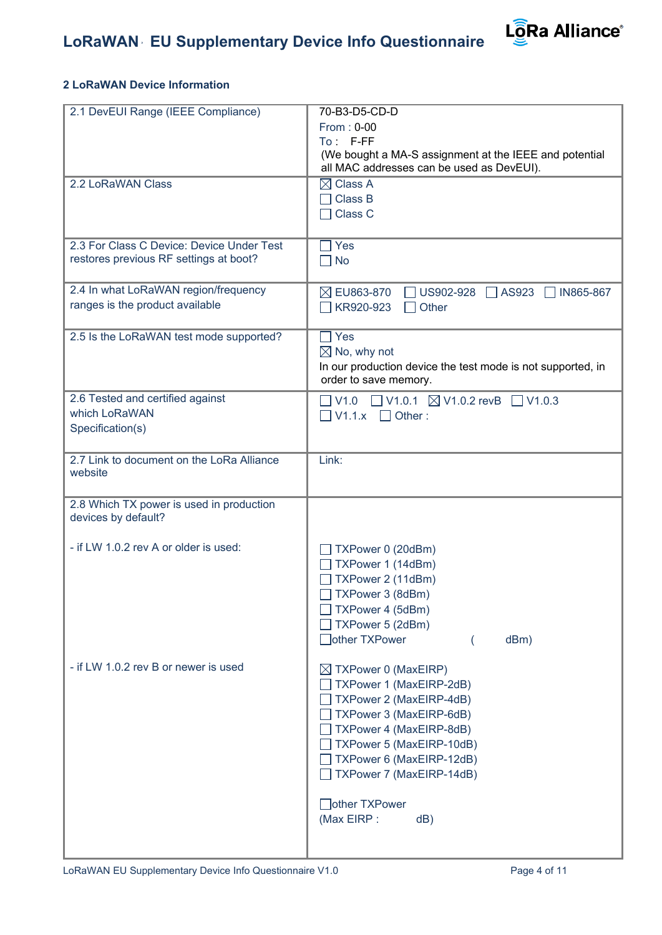

#### **2 LoRaWAN Device Information**

| 2.1 DevEUI Range (IEEE Compliance)                   | 70-B3-D5-CD-D                                                                                       |
|------------------------------------------------------|-----------------------------------------------------------------------------------------------------|
|                                                      | From: 0-00                                                                                          |
|                                                      | To: F-FF                                                                                            |
|                                                      | (We bought a MA-S assignment at the IEEE and potential<br>all MAC addresses can be used as DevEUI). |
| 2.2 LoRaWAN Class                                    | $\boxtimes$ Class A                                                                                 |
|                                                      | Class B                                                                                             |
|                                                      | $\sqcap$ Class C                                                                                    |
|                                                      |                                                                                                     |
| 2.3 For Class C Device: Device Under Test            | Yes                                                                                                 |
| restores previous RF settings at boot?               | <b>No</b>                                                                                           |
| 2.4 In what LoRaWAN region/frequency                 | $\boxtimes$ EU863-870<br>US902-928<br>$\Box$ AS923<br>IN865-867                                     |
| ranges is the product available                      | KR920-923<br>Other                                                                                  |
|                                                      |                                                                                                     |
| 2.5 Is the LoRaWAN test mode supported?              | 7 Yes<br>$\boxtimes$ No, why not                                                                    |
|                                                      | In our production device the test mode is not supported, in                                         |
|                                                      | order to save memory.                                                                               |
| 2.6 Tested and certified against                     | $\Box$ V1.0.1 $\boxtimes$ V1.0.2 revB $\Box$ V1.0.3<br>$\sqrt{1.0}$                                 |
| which LoRaWAN                                        | $\top$ V1.1.x<br>$\Box$ Other:                                                                      |
| Specification(s)                                     |                                                                                                     |
|                                                      |                                                                                                     |
| 2.7 Link to document on the LoRa Alliance<br>website | Link:                                                                                               |
|                                                      |                                                                                                     |
| 2.8 Which TX power is used in production             |                                                                                                     |
| devices by default?                                  |                                                                                                     |
|                                                      |                                                                                                     |
| - if LW 1.0.2 rev A or older is used:                | TXPower 0 (20dBm)                                                                                   |
|                                                      | TXPower 1 (14dBm)                                                                                   |
|                                                      | TXPower 2 (11dBm)                                                                                   |
|                                                      | TXPower 3 (8dBm)                                                                                    |
|                                                      | TXPower 4 (5dBm)                                                                                    |
|                                                      | TXPower 5 (2dBm)                                                                                    |
|                                                      | other TXPower<br>dBm)                                                                               |
| - if LW 1.0.2 rev B or newer is used                 | $\boxtimes$ TXPower 0 (MaxEIRP)                                                                     |
|                                                      | TXPower 1 (MaxEIRP-2dB)                                                                             |
|                                                      | TXPower 2 (MaxEIRP-4dB)                                                                             |
|                                                      | TXPower 3 (MaxEIRP-6dB)                                                                             |
|                                                      | TXPower 4 (MaxEIRP-8dB)                                                                             |
|                                                      | TXPower 5 (MaxEIRP-10dB)                                                                            |
|                                                      | TXPower 6 (MaxEIRP-12dB)                                                                            |
|                                                      | TXPower 7 (MaxEIRP-14dB)                                                                            |
|                                                      |                                                                                                     |
|                                                      | other TXPower                                                                                       |
|                                                      | (Max EIRP :<br>dB)                                                                                  |
|                                                      |                                                                                                     |
|                                                      |                                                                                                     |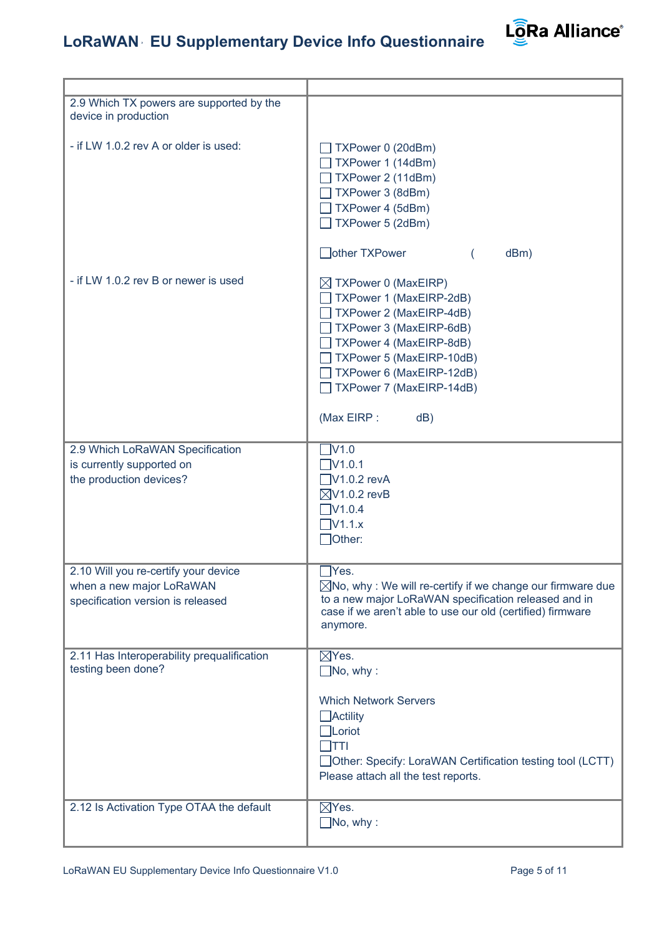| 2.9 Which TX powers are supported by the<br>device in production                                      |                                                                                                                                                                                                                                                       |
|-------------------------------------------------------------------------------------------------------|-------------------------------------------------------------------------------------------------------------------------------------------------------------------------------------------------------------------------------------------------------|
| - if LW 1.0.2 rev A or older is used:                                                                 | TXPower 0 (20dBm)<br>TXPower 1 (14dBm)<br>TXPower 2 (11dBm)<br>TXPower 3 (8dBm)<br>TXPower 4 (5dBm)<br>TXPower 5 (2dBm)                                                                                                                               |
|                                                                                                       | other TXPower<br>dBm)                                                                                                                                                                                                                                 |
| - if LW 1.0.2 rev B or newer is used                                                                  | $\boxtimes$ TXPower 0 (MaxEIRP)<br>TXPower 1 (MaxEIRP-2dB)<br>TXPower 2 (MaxEIRP-4dB)<br>TXPower 3 (MaxEIRP-6dB)<br>TXPower 4 (MaxEIRP-8dB)<br>TXPower 5 (MaxEIRP-10dB)<br>TXPower 6 (MaxEIRP-12dB)<br>TXPower 7 (MaxEIRP-14dB)<br>(Max EIRP :<br>dB) |
|                                                                                                       |                                                                                                                                                                                                                                                       |
| 2.9 Which LoRaWAN Specification<br>is currently supported on<br>the production devices?               | 7V1.0<br>$\n  10.1\n$<br>$\nabla$ 1.0.2 revA<br>$\boxtimes$ V1.0.2 revB<br>$\nabla$ 1.0.4<br>$\n  V1.1.x\n$<br>$\exists$ Other:                                                                                                                       |
| 2.10 Will you re-certify your device<br>when a new major LoRaWAN<br>specification version is released | $\Box$ Yes<br>$\boxtimes$ No, why : We will re-certify if we change our firmware due<br>to a new major LoRaWAN specification released and in<br>case if we aren't able to use our old (certified) firmware<br>anymore.                                |
| 2.11 Has Interoperability prequalification<br>testing been done?                                      | $\boxtimes$ Yes.<br>$\Box$ No, why :<br><b>Which Network Servers</b><br>$\Box$ Actility<br>$\Box$ Loriot<br>ודדן<br>Other: Specify: LoraWAN Certification testing tool (LCTT)<br>Please attach all the test reports.                                  |
| 2.12 Is Activation Type OTAA the default                                                              | $\boxtimes$ Yes.<br>$\Box$ No, why:                                                                                                                                                                                                                   |

LoRa Alliance®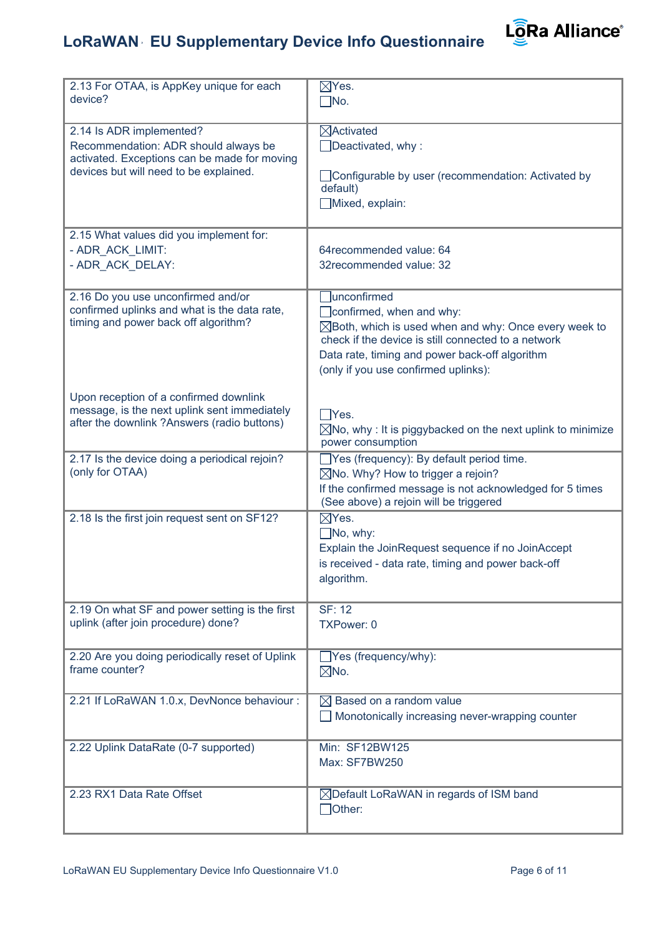

| 2.13 For OTAA, is AppKey unique for each<br>device?                                                                                                        | $\boxtimes$ Yes.<br>$\neg$ No.                                                                                                                                                                                                                                      |
|------------------------------------------------------------------------------------------------------------------------------------------------------------|---------------------------------------------------------------------------------------------------------------------------------------------------------------------------------------------------------------------------------------------------------------------|
| 2.14 Is ADR implemented?<br>Recommendation: ADR should always be<br>activated. Exceptions can be made for moving<br>devices but will need to be explained. | $\boxtimes$ Activated<br>Deactivated, why:<br>□ Configurable by user (recommendation: Activated by<br>default)<br>Mixed, explain:                                                                                                                                   |
| 2.15 What values did you implement for:<br>- ADR ACK LIMIT:<br>- ADR_ACK_DELAY:                                                                            | 64 recommended value: 64<br>32 recommended value: 32                                                                                                                                                                                                                |
| 2.16 Do you use unconfirmed and/or<br>confirmed uplinks and what is the data rate,<br>timing and power back off algorithm?                                 | unconfirmed<br>$\Box$ confirmed, when and why:<br>$\boxtimes$ Both, which is used when and why: Once every week to<br>check if the device is still connected to a network<br>Data rate, timing and power back-off algorithm<br>(only if you use confirmed uplinks): |
| Upon reception of a confirmed downlink<br>message, is the next uplink sent immediately<br>after the downlink ?Answers (radio buttons)                      | $\bigcap$ Yes.<br>$\boxtimes$ No, why : It is piggybacked on the next uplink to minimize<br>power consumption                                                                                                                                                       |
| 2.17 Is the device doing a periodical rejoin?<br>(only for OTAA)                                                                                           | □ Yes (frequency): By default period time.<br>$\boxtimes$ No. Why? How to trigger a rejoin?<br>If the confirmed message is not acknowledged for 5 times<br>(See above) a rejoin will be triggered                                                                   |
| 2.18 Is the first join request sent on SF12?                                                                                                               | $\boxtimes$ Yes.<br>$\Box$ No, why:<br>Explain the JoinRequest sequence if no JoinAccept<br>is received - data rate, timing and power back-off<br>algorithm.                                                                                                        |
| 2.19 On what SF and power setting is the first<br>uplink (after join procedure) done?                                                                      | <b>SF: 12</b><br>TXPower: 0                                                                                                                                                                                                                                         |
| 2.20 Are you doing periodically reset of Uplink<br>frame counter?                                                                                          | $\Box$ Yes (frequency/why):<br>$\boxtimes$ No.                                                                                                                                                                                                                      |
| 2.21 If LoRaWAN 1.0.x, DevNonce behaviour :                                                                                                                | $\boxtimes$ Based on a random value<br>Monotonically increasing never-wrapping counter                                                                                                                                                                              |
| 2.22 Uplink DataRate (0-7 supported)                                                                                                                       | Min: SF12BW125<br>Max: SF7BW250                                                                                                                                                                                                                                     |
| 2.23 RX1 Data Rate Offset                                                                                                                                  | ⊠Default LoRaWAN in regards of ISM band<br>$\Box$ Other:                                                                                                                                                                                                            |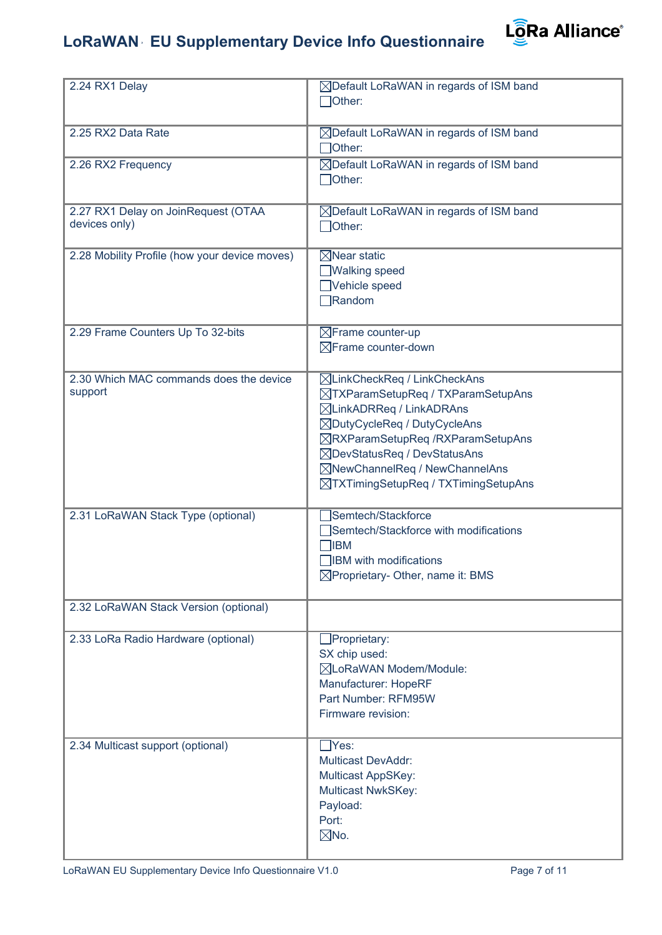

| 2.24 RX1 Delay                                       | ⊠Default LoRaWAN in regards of ISM band<br>$\Box$ Other:                                                                                                                                                                                                                                 |
|------------------------------------------------------|------------------------------------------------------------------------------------------------------------------------------------------------------------------------------------------------------------------------------------------------------------------------------------------|
| 2.25 RX2 Data Rate                                   | $\boxtimes$ Default LoRaWAN in regards of ISM band<br>$\exists$ Other:                                                                                                                                                                                                                   |
| 2.26 RX2 Frequency                                   | $\boxtimes$ Default LoRaWAN in regards of ISM band<br>$\Box$ Other:                                                                                                                                                                                                                      |
| 2.27 RX1 Delay on JoinRequest (OTAA<br>devices only) | ⊠Default LoRaWAN in regards of ISM band<br>$\Box$ Other:                                                                                                                                                                                                                                 |
| 2.28 Mobility Profile (how your device moves)        | $\boxtimes$ Near static<br>◯Walking speed<br>Vehicle speed<br>$\exists$ Random                                                                                                                                                                                                           |
| 2.29 Frame Counters Up To 32-bits                    | $\overline{\boxtimes}$ Frame counter-up<br>$\boxtimes$ Frame counter-down                                                                                                                                                                                                                |
| 2.30 Which MAC commands does the device<br>support   | $\boxtimes$ LinkCheckReq / LinkCheckAns<br>⊠TXParamSetupReq / TXParamSetupAns<br>⊠LinkADRReq / LinkADRAns<br>⊠DutyCycleReq / DutyCycleAns<br>⊠RXParamSetupReq /RXParamSetupAns<br>⊠DevStatusReq / DevStatusAns<br>⊠NewChannelReq / NewChannelAns<br>⊠TXTimingSetupReq / TXTimingSetupAns |
| 2.31 LoRaWAN Stack Type (optional)                   | Semtech/Stackforce<br>Semtech/Stackforce with modifications<br>$\n  1$ IBM<br><b>IBM</b> with modifications<br>⊠Proprietary- Other, name it: BMS                                                                                                                                         |
| 2.32 LoRaWAN Stack Version (optional)                |                                                                                                                                                                                                                                                                                          |
| 2.33 LoRa Radio Hardware (optional)                  | $\Box$ Proprietary:<br>SX chip used:<br>⊠LoRaWAN Modem/Module:<br>Manufacturer: HopeRF<br>Part Number: RFM95W<br>Firmware revision:                                                                                                                                                      |
| 2.34 Multicast support (optional)                    | $\Box$ Yes:<br><b>Multicast DevAddr:</b><br>Multicast AppSKey:<br>Multicast NwkSKey:<br>Payload:<br>Port:<br>$\boxtimes$ No.                                                                                                                                                             |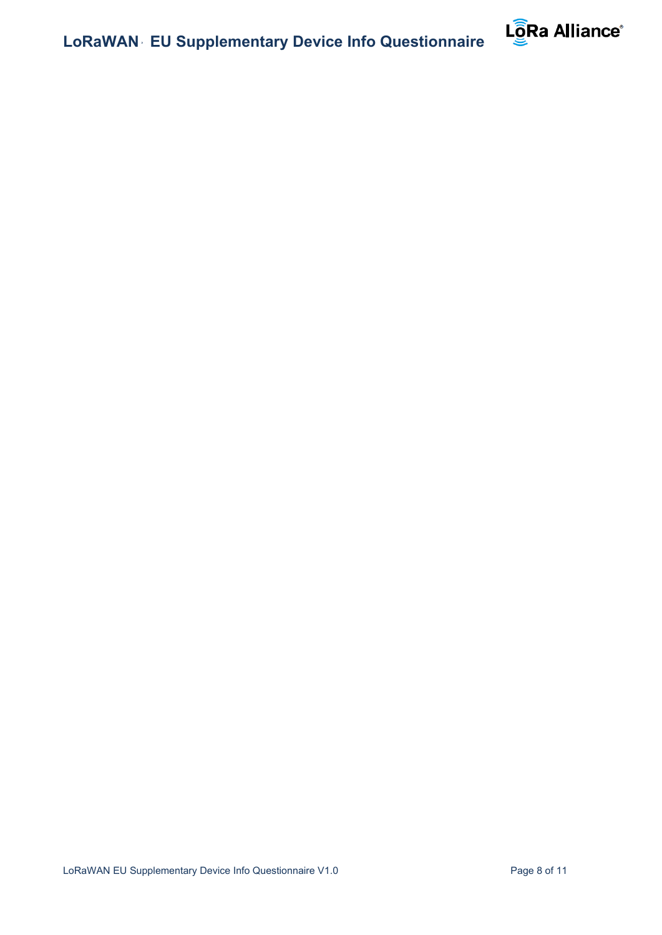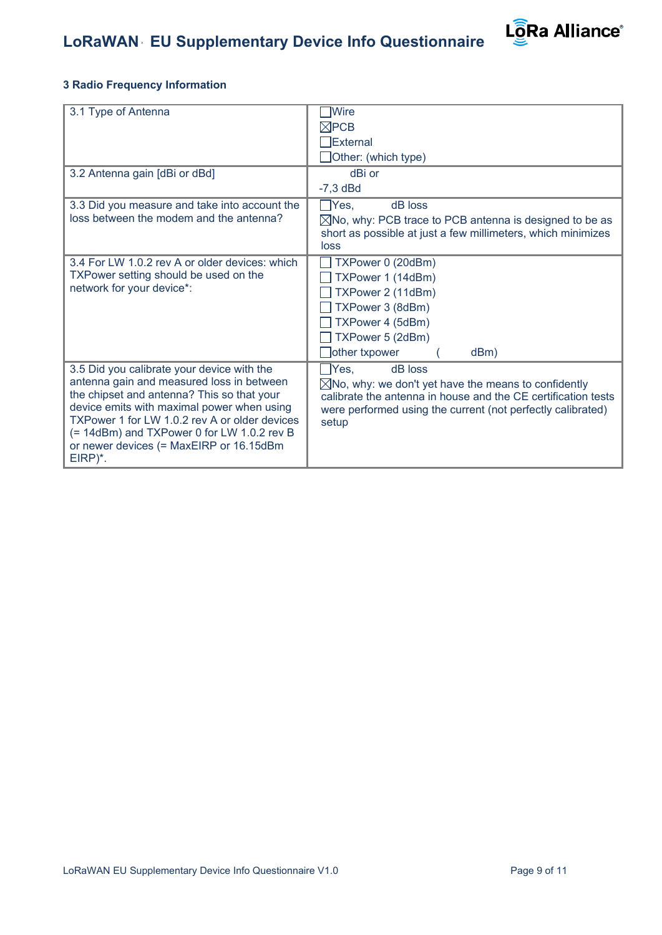

#### **3 Radio Frequency Information**

| 3.1 Type of Antenna                                                                                                                                                                                                                                                                                                                                    | Wire                                                                                                                                                                                                                        |
|--------------------------------------------------------------------------------------------------------------------------------------------------------------------------------------------------------------------------------------------------------------------------------------------------------------------------------------------------------|-----------------------------------------------------------------------------------------------------------------------------------------------------------------------------------------------------------------------------|
|                                                                                                                                                                                                                                                                                                                                                        | $\boxtimes$ PCB                                                                                                                                                                                                             |
|                                                                                                                                                                                                                                                                                                                                                        | External                                                                                                                                                                                                                    |
|                                                                                                                                                                                                                                                                                                                                                        | Other: (which type)                                                                                                                                                                                                         |
| 3.2 Antenna gain [dBi or dBd]                                                                                                                                                                                                                                                                                                                          | dBi or                                                                                                                                                                                                                      |
|                                                                                                                                                                                                                                                                                                                                                        | $-7,3$ dBd                                                                                                                                                                                                                  |
| 3.3 Did you measure and take into account the<br>loss between the modem and the antenna?                                                                                                                                                                                                                                                               | dB loss<br>∣ ∣Yes,<br>$\boxtimes$ No, why: PCB trace to PCB antenna is designed to be as<br>short as possible at just a few millimeters, which minimizes<br>loss                                                            |
| 3.4 For LW 1.0.2 rev A or older devices: which<br>TXPower setting should be used on the<br>network for your device*:                                                                                                                                                                                                                                   | TXPower 0 (20dBm)<br>TXPower 1 (14dBm)<br>TXPower 2 (11dBm)<br>TXPower 3 (8dBm)<br>TXPower 4 (5dBm)<br>TXPower 5 (2dBm)<br>other txpower<br>dBm)                                                                            |
| 3.5 Did you calibrate your device with the<br>antenna gain and measured loss in between<br>the chipset and antenna? This so that your<br>device emits with maximal power when using<br>TXPower 1 for LW 1.0.2 rev A or older devices<br>(= 14dBm) and TXPower 0 for LW 1.0.2 rev B<br>or newer devices (= MaxEIRP or 16.15dBm<br>$EIRP$ <sup>*</sup> . | Yes.<br>dB loss<br>$\boxtimes$ No, why: we don't yet have the means to confidently<br>calibrate the antenna in house and the CE certification tests<br>were performed using the current (not perfectly calibrated)<br>setup |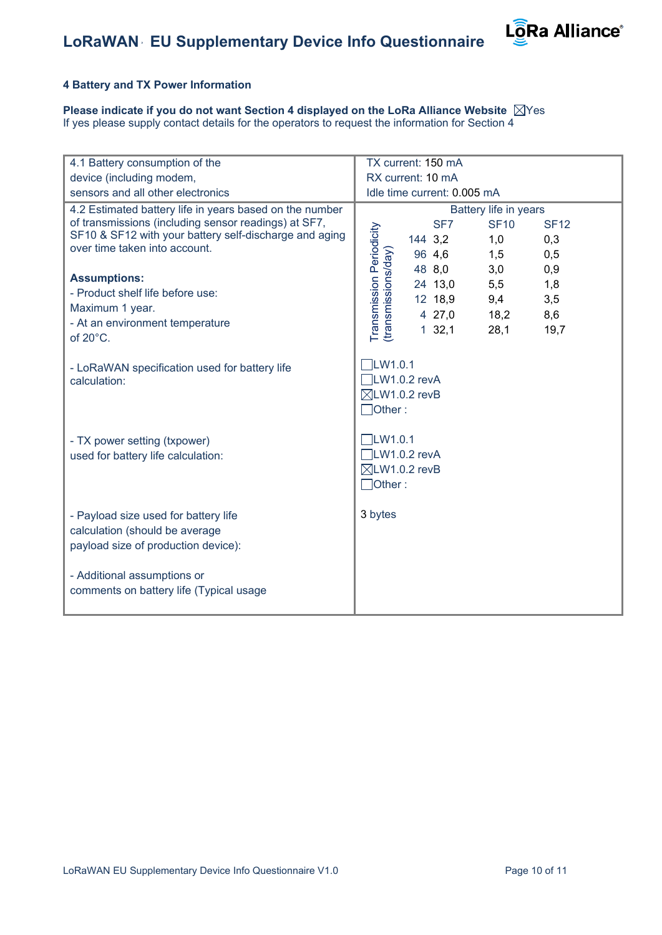

#### **4 Battery and TX Power Information**

**Please indicate if you do not want Section 4 displayed on the LoRa Alliance Website**  $\boxtimes$ Yes If yes please supply contact details for the operators to request the information for Section 4

| 4.1 Battery consumption of the                                                                                                                                                          | TX current: 150 mA                                                                                                                                                         |
|-----------------------------------------------------------------------------------------------------------------------------------------------------------------------------------------|----------------------------------------------------------------------------------------------------------------------------------------------------------------------------|
| device (including modem,                                                                                                                                                                | RX current: 10 mA                                                                                                                                                          |
| sensors and all other electronics                                                                                                                                                       | Idle time current: 0.005 mA                                                                                                                                                |
| 4.2 Estimated battery life in years based on the number                                                                                                                                 | Battery life in years                                                                                                                                                      |
| of transmissions (including sensor readings) at SF7,                                                                                                                                    | <b>SF10</b><br>SF <sub>7</sub><br><b>SF12</b>                                                                                                                              |
| SF10 & SF12 with your battery self-discharge and aging                                                                                                                                  | 144 3.2<br>1,0<br>0,3                                                                                                                                                      |
| over time taken into account.                                                                                                                                                           | 96 4,6<br>1,5<br>0,5                                                                                                                                                       |
|                                                                                                                                                                                         | 48 8,0<br>3,0<br>0,9                                                                                                                                                       |
| <b>Assumptions:</b>                                                                                                                                                                     | 5,5<br>1,8<br>24 13,0                                                                                                                                                      |
| - Product shelf life before use:                                                                                                                                                        | Transmission Periodicity<br>(transmissions/day)<br>12 18,9<br>9,4<br>3,5                                                                                                   |
| Maximum 1 year.                                                                                                                                                                         | 4 27,0<br>18,2<br>8,6                                                                                                                                                      |
| - At an environment temperature                                                                                                                                                         | 19,7<br>1, 32, 1<br>28,1                                                                                                                                                   |
| of 20°C.                                                                                                                                                                                |                                                                                                                                                                            |
| - LoRaWAN specification used for battery life<br>calculation:<br>- TX power setting (txpower)<br>used for battery life calculation:                                                     | $\sqrt{\text{LW1.0.1}}$<br>$\Box$ LW1.0.2 revA<br>$\boxtimes$ LW1.0.2 revB<br>$\Box$ Other:<br>LW1.0.1<br>$\Box$ LW1.0.2 revA<br>$\boxtimes$ LW1.0.2 revB<br>$\Box$ Other: |
| - Payload size used for battery life<br>calculation (should be average<br>payload size of production device):<br>- Additional assumptions or<br>comments on battery life (Typical usage | 3 bytes                                                                                                                                                                    |
|                                                                                                                                                                                         |                                                                                                                                                                            |